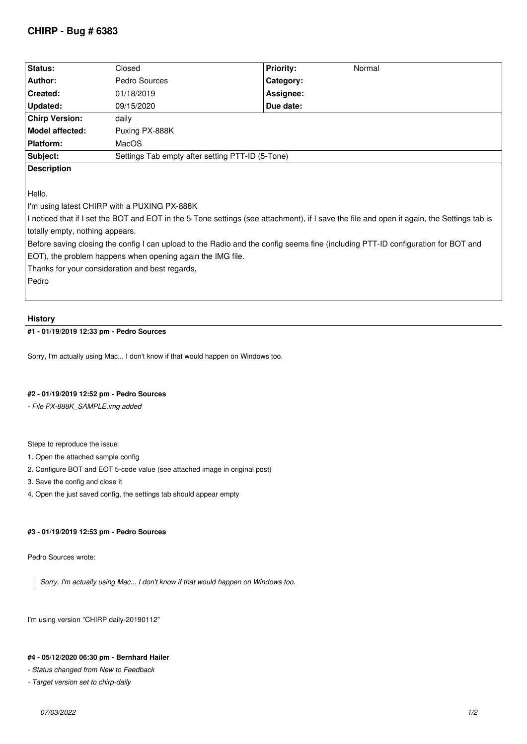# **CHIRP - Bug # 6383**

| Status:                                                                                                                                    | Closed                                           | <b>Priority:</b><br>Normal |  |  |  |
|--------------------------------------------------------------------------------------------------------------------------------------------|--------------------------------------------------|----------------------------|--|--|--|
| Author:                                                                                                                                    | Pedro Sources                                    | Category:                  |  |  |  |
| Created:                                                                                                                                   | 01/18/2019                                       | Assignee:                  |  |  |  |
| Updated:                                                                                                                                   | 09/15/2020                                       | Due date:                  |  |  |  |
| <b>Chirp Version:</b>                                                                                                                      | daily                                            |                            |  |  |  |
| Model affected:                                                                                                                            | Puxing PX-888K                                   |                            |  |  |  |
| Platform:                                                                                                                                  | MacOS                                            |                            |  |  |  |
| Subject:                                                                                                                                   | Settings Tab empty after setting PTT-ID (5-Tone) |                            |  |  |  |
| <b>Description</b>                                                                                                                         |                                                  |                            |  |  |  |
|                                                                                                                                            |                                                  |                            |  |  |  |
| Hello,                                                                                                                                     |                                                  |                            |  |  |  |
| I'm using latest CHIRP with a PUXING PX-888K                                                                                               |                                                  |                            |  |  |  |
| I noticed that if I set the BOT and EOT in the 5-Tone settings (see attachment), if I save the file and open it again, the Settings tab is |                                                  |                            |  |  |  |
| totally empty, nothing appears.                                                                                                            |                                                  |                            |  |  |  |
| Before saving closing the config I can upload to the Radio and the config seems fine (including PTT-ID configuration for BOT and           |                                                  |                            |  |  |  |
| EOT), the problem happens when opening again the IMG file.                                                                                 |                                                  |                            |  |  |  |
| Thanks for your consideration and best regards,                                                                                            |                                                  |                            |  |  |  |
| Pedro                                                                                                                                      |                                                  |                            |  |  |  |
|                                                                                                                                            |                                                  |                            |  |  |  |

#### **History**

## **#1 - 01/19/2019 12:33 pm - Pedro Sources**

*Sorry, I'm actually using Mac... I don't know if that would happen on Windows too.*

## **#2 - 01/19/2019 12:52 pm - Pedro Sources**

*- File PX-888K\_SAMPLE.img added*

*Steps to reproduce the issue:*

- *1. Open the attached sample config*
- *2. Configure BOT and EOT 5-code value (see attached image in original post)*
- *3. Save the config and close it*
- *4. Open the just saved config, the settings tab should appear empty*

## **#3 - 01/19/2019 12:53 pm - Pedro Sources**

*Pedro Sources wrote:*

*Sorry, I'm actually using Mac... I don't know if that would happen on Windows too.*

*I'm using version "CHIRP daily-20190112"*

#### **#4 - 05/12/2020 06:30 pm - Bernhard Hailer**

*- Status changed from New to Feedback*

*- Target version set to chirp-daily*